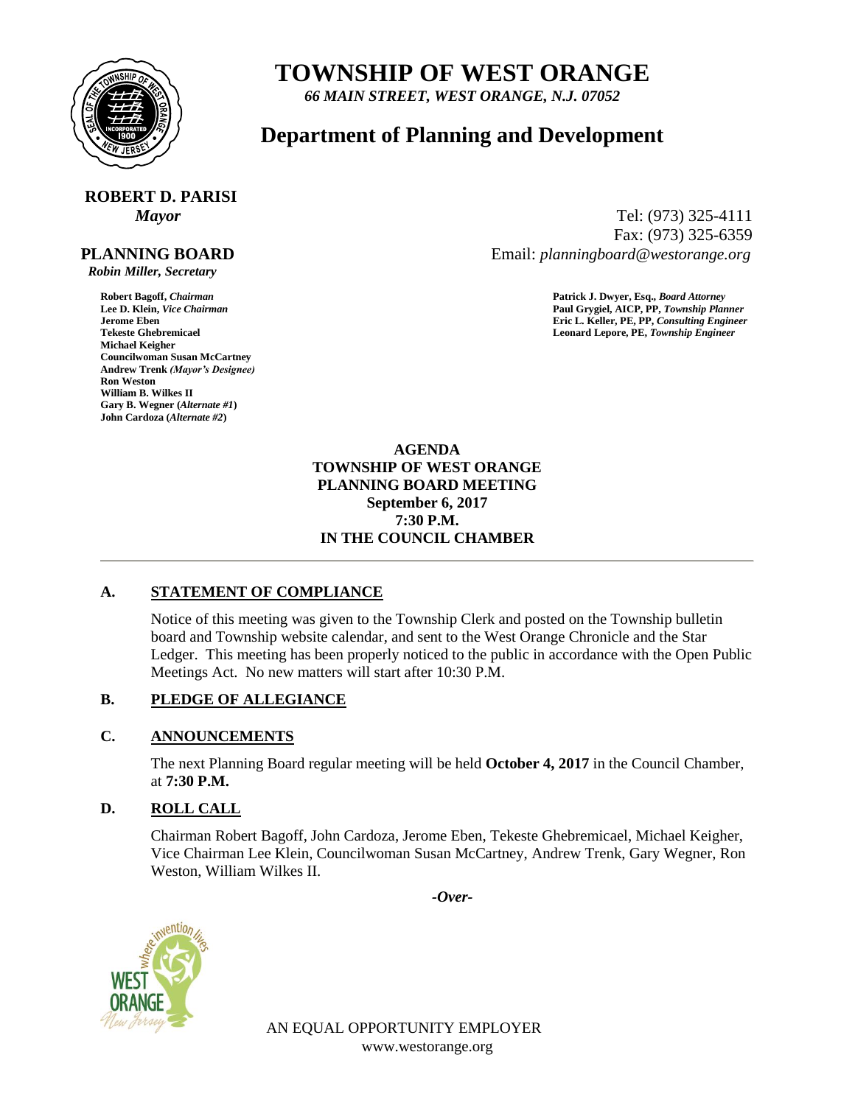

## **TOWNSHIP OF WEST ORANGE**

*66 MAIN STREET, WEST ORANGE, N.J. 07052*

### **Department of Planning and Development**

# **ROBERT D. PARISI**

#### **PLANNING BOARD**

 *Robin Miller, Secretary*

**Michael Keigher Councilwoman Susan McCartney Andrew Trenk** *(Mayor's Designee)* **Ron Weston William B. Wilkes II Gary B. Wegner (***Alternate #1***) John Cardoza (***Alternate #2***)**

*Mayor* Tel: (973) 325-4111 Fax: (973) 325-6359 Email: *planningboard@westorange.org*

**Robert Bagoff,** *Chairman* **Patrick J. Dwyer, Esq.,** *Board Attorney* **Lee D. Klein,** *Vice Chairman* **Paul Grygiel, AICP, PP,** *Township Planner* **Jerome Eben Eric L. Keller, PE, PP,** *Consulting Engineer* Leonard Lepore, PE, Township Engineer

> **AGENDA TOWNSHIP OF WEST ORANGE PLANNING BOARD MEETING September 6, 2017 7:30 P.M. IN THE COUNCIL CHAMBER**

#### **A. STATEMENT OF COMPLIANCE**

Notice of this meeting was given to the Township Clerk and posted on the Township bulletin board and Township website calendar, and sent to the West Orange Chronicle and the Star Ledger. This meeting has been properly noticed to the public in accordance with the Open Public Meetings Act. No new matters will start after 10:30 P.M.

### **B. PLEDGE OF ALLEGIANCE**

### **C. ANNOUNCEMENTS**

The next Planning Board regular meeting will be held **October 4, 2017** in the Council Chamber, at **7:30 P.M.**

### **D. ROLL CALL**

Chairman Robert Bagoff, John Cardoza, Jerome Eben, Tekeste Ghebremicael, Michael Keigher, Vice Chairman Lee Klein, Councilwoman Susan McCartney, Andrew Trenk, Gary Wegner, Ron Weston, William Wilkes II.

*-Over-*



AN EQUAL OPPORTUNITY EMPLOYER www.westorange.org